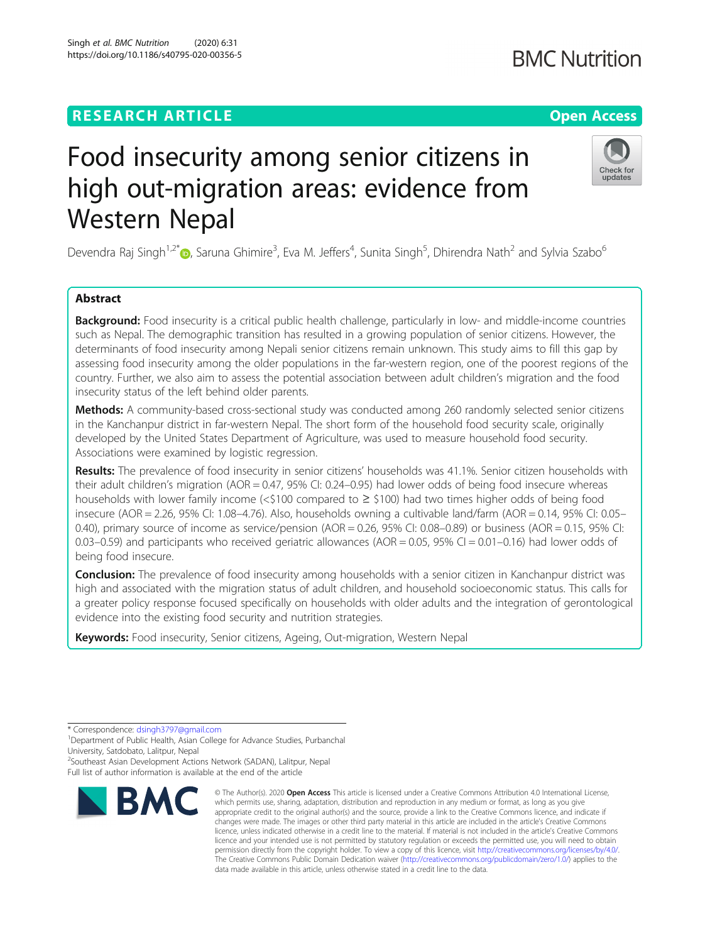## **RESEARCH ARTICLE Example 2014 12:30 The Contract of Contract ACCESS**

# Food insecurity among senior citizens in high out-migration areas: evidence from Western Nepal

Devendra Raj Singh<sup>1[,](http://orcid.org/0000-0003-1450-9476)2\*</sup>�, Saruna Ghimire<sup>3</sup>, Eva M. Jeffers<sup>4</sup>, Sunita Singh<sup>5</sup>, Dhirendra Nath<sup>2</sup> and Sylvia Szabo<sup>6</sup>

## Abstract

**Background:** Food insecurity is a critical public health challenge, particularly in low- and middle-income countries such as Nepal. The demographic transition has resulted in a growing population of senior citizens. However, the determinants of food insecurity among Nepali senior citizens remain unknown. This study aims to fill this gap by assessing food insecurity among the older populations in the far-western region, one of the poorest regions of the country. Further, we also aim to assess the potential association between adult children's migration and the food insecurity status of the left behind older parents.

Methods: A community-based cross-sectional study was conducted among 260 randomly selected senior citizens in the Kanchanpur district in far-western Nepal. The short form of the household food security scale, originally developed by the United States Department of Agriculture, was used to measure household food security. Associations were examined by logistic regression.

Results: The prevalence of food insecurity in senior citizens' households was 41.1%. Senior citizen households with their adult children's migration (AOR = 0.47, 95% CI: 0.24–0.95) had lower odds of being food insecure whereas households with lower family income (< $$100$  compared to  $\geq$  \$100) had two times higher odds of being food insecure (AOR = 2.26, 95% CI: 1.08–4.76). Also, households owning a cultivable land/farm (AOR = 0.14, 95% CI: 0.05– 0.40), primary source of income as service/pension  $(AOR = 0.26, 95\%$  CI:  $0.08-0.89)$  or business  $(AOR = 0.15, 95\%$  CI:  $0.03-0.59$ ) and participants who received geriatric allowances (AOR = 0.05, 95% CI = 0.01–0.16) had lower odds of being food insecure.

**Conclusion:** The prevalence of food insecurity among households with a senior citizen in Kanchanpur district was high and associated with the migration status of adult children, and household socioeconomic status. This calls for a greater policy response focused specifically on households with older adults and the integration of gerontological evidence into the existing food security and nutrition strategies.

data made available in this article, unless otherwise stated in a credit line to the data.

© The Author(s), 2020 **Open Access** This article is licensed under a Creative Commons Attribution 4.0 International License, which permits use, sharing, adaptation, distribution and reproduction in any medium or format, as long as you give

Keywords: Food insecurity, Senior citizens, Ageing, Out-migration, Western Nepal

**BMC** 

<sup>2</sup>Southeast Asian Development Actions Network (SADAN), Lalitpur, Nepal

Full list of author information is available at the end of the article







<sup>\*</sup> Correspondence: [dsingh3797@gmail.com](mailto:dsingh3797@gmail.com) <sup>1</sup>

<sup>&</sup>lt;sup>1</sup>Department of Public Health, Asian College for Advance Studies, Purbanchal University, Satdobato, Lalitpur, Nepal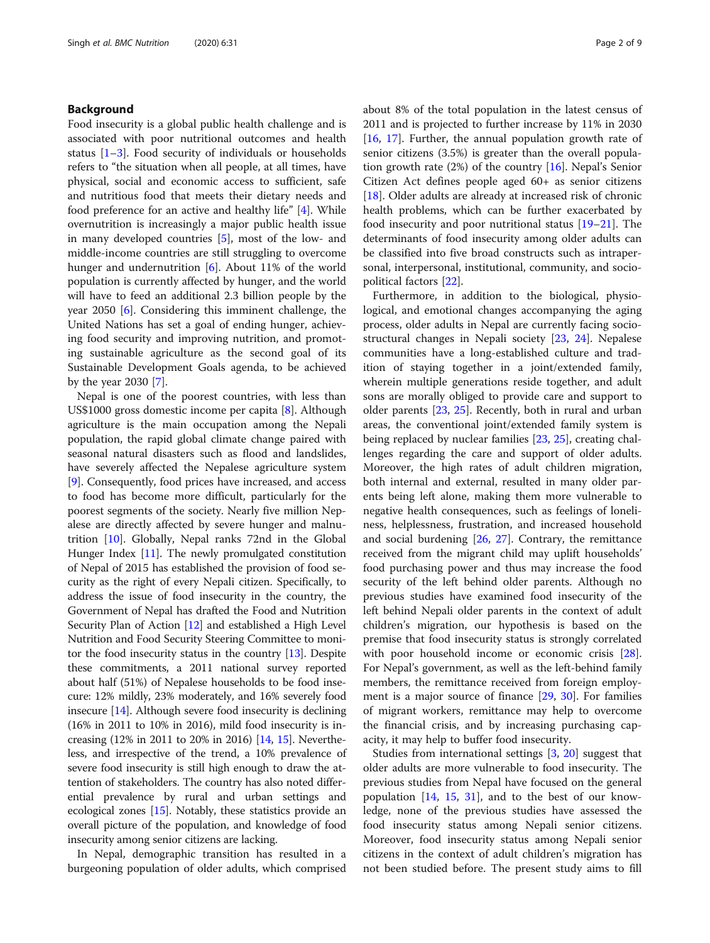## Background

Food insecurity is a global public health challenge and is associated with poor nutritional outcomes and health status [\[1](#page-7-0)–[3](#page-7-0)]. Food security of individuals or households refers to "the situation when all people, at all times, have physical, social and economic access to sufficient, safe and nutritious food that meets their dietary needs and food preference for an active and healthy life" [\[4](#page-7-0)]. While overnutrition is increasingly a major public health issue in many developed countries [\[5](#page-7-0)], most of the low- and middle-income countries are still struggling to overcome hunger and undernutrition [\[6](#page-7-0)]. About 11% of the world population is currently affected by hunger, and the world will have to feed an additional 2.3 billion people by the year 2050 [[6\]](#page-7-0). Considering this imminent challenge, the United Nations has set a goal of ending hunger, achieving food security and improving nutrition, and promoting sustainable agriculture as the second goal of its Sustainable Development Goals agenda, to be achieved by the year 2030 [[7](#page-7-0)].

Nepal is one of the poorest countries, with less than US\$1000 gross domestic income per capita [[8\]](#page-7-0). Although agriculture is the main occupation among the Nepali population, the rapid global climate change paired with seasonal natural disasters such as flood and landslides, have severely affected the Nepalese agriculture system [[9\]](#page-7-0). Consequently, food prices have increased, and access to food has become more difficult, particularly for the poorest segments of the society. Nearly five million Nepalese are directly affected by severe hunger and malnutrition [\[10](#page-7-0)]. Globally, Nepal ranks 72nd in the Global Hunger Index [\[11\]](#page-7-0). The newly promulgated constitution of Nepal of 2015 has established the provision of food security as the right of every Nepali citizen. Specifically, to address the issue of food insecurity in the country, the Government of Nepal has drafted the Food and Nutrition Security Plan of Action [[12](#page-7-0)] and established a High Level Nutrition and Food Security Steering Committee to monitor the food insecurity status in the country [\[13\]](#page-7-0). Despite these commitments, a 2011 national survey reported about half (51%) of Nepalese households to be food insecure: 12% mildly, 23% moderately, and 16% severely food insecure [\[14\]](#page-7-0). Although severe food insecurity is declining (16% in 2011 to 10% in 2016), mild food insecurity is increasing (12% in 2011 to 20% in 2016) [[14](#page-7-0), [15](#page-7-0)]. Nevertheless, and irrespective of the trend, a 10% prevalence of severe food insecurity is still high enough to draw the attention of stakeholders. The country has also noted differential prevalence by rural and urban settings and ecological zones [\[15\]](#page-7-0). Notably, these statistics provide an overall picture of the population, and knowledge of food insecurity among senior citizens are lacking.

In Nepal, demographic transition has resulted in a burgeoning population of older adults, which comprised about 8% of the total population in the latest census of 2011 and is projected to further increase by 11% in 2030 [[16,](#page-7-0) [17\]](#page-7-0). Further, the annual population growth rate of senior citizens (3.5%) is greater than the overall population growth rate (2%) of the country [\[16](#page-7-0)]. Nepal's Senior Citizen Act defines people aged 60+ as senior citizens [[18\]](#page-7-0). Older adults are already at increased risk of chronic health problems, which can be further exacerbated by food insecurity and poor nutritional status [[19](#page-7-0)–[21\]](#page-7-0). The determinants of food insecurity among older adults can be classified into five broad constructs such as intrapersonal, interpersonal, institutional, community, and sociopolitical factors [[22\]](#page-7-0).

Furthermore, in addition to the biological, physiological, and emotional changes accompanying the aging process, older adults in Nepal are currently facing sociostructural changes in Nepali society [[23](#page-7-0), [24\]](#page-7-0). Nepalese communities have a long-established culture and tradition of staying together in a joint/extended family, wherein multiple generations reside together, and adult sons are morally obliged to provide care and support to older parents [[23](#page-7-0), [25\]](#page-7-0). Recently, both in rural and urban areas, the conventional joint/extended family system is being replaced by nuclear families [[23,](#page-7-0) [25\]](#page-7-0), creating challenges regarding the care and support of older adults. Moreover, the high rates of adult children migration, both internal and external, resulted in many older parents being left alone, making them more vulnerable to negative health consequences, such as feelings of loneliness, helplessness, frustration, and increased household and social burdening [[26,](#page-7-0) [27\]](#page-7-0). Contrary, the remittance received from the migrant child may uplift households' food purchasing power and thus may increase the food security of the left behind older parents. Although no previous studies have examined food insecurity of the left behind Nepali older parents in the context of adult children's migration, our hypothesis is based on the premise that food insecurity status is strongly correlated with poor household income or economic crisis [\[28](#page-7-0)]. For Nepal's government, as well as the left-behind family members, the remittance received from foreign employment is a major source of finance [[29,](#page-7-0) [30](#page-7-0)]. For families of migrant workers, remittance may help to overcome the financial crisis, and by increasing purchasing capacity, it may help to buffer food insecurity.

Studies from international settings [\[3](#page-7-0), [20\]](#page-7-0) suggest that older adults are more vulnerable to food insecurity. The previous studies from Nepal have focused on the general population [[14](#page-7-0), [15](#page-7-0), [31\]](#page-7-0), and to the best of our knowledge, none of the previous studies have assessed the food insecurity status among Nepali senior citizens. Moreover, food insecurity status among Nepali senior citizens in the context of adult children's migration has not been studied before. The present study aims to fill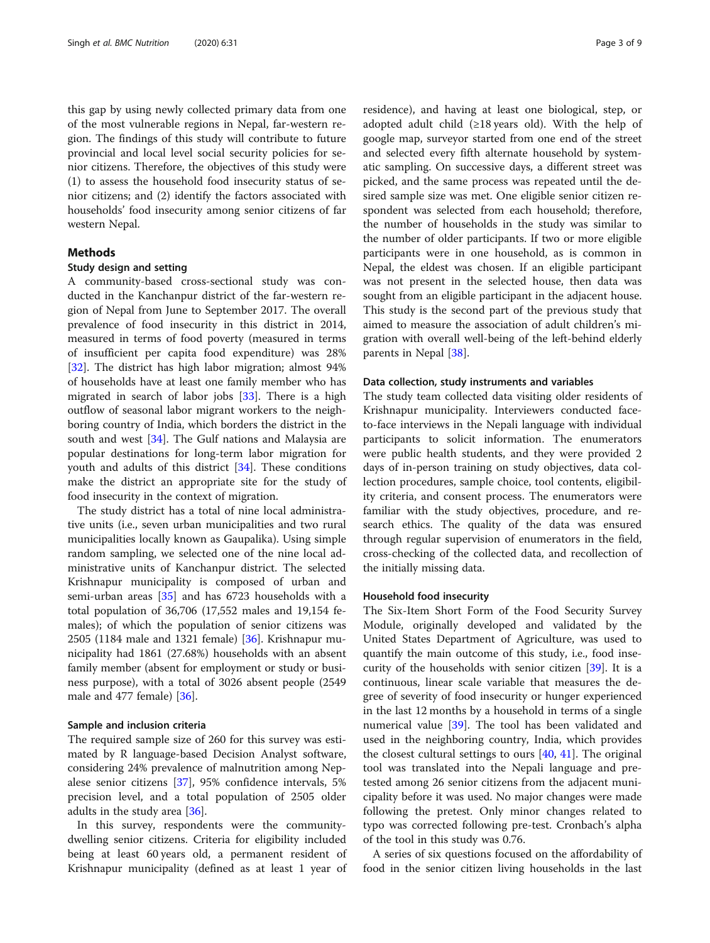this gap by using newly collected primary data from one of the most vulnerable regions in Nepal, far-western region. The findings of this study will contribute to future provincial and local level social security policies for senior citizens. Therefore, the objectives of this study were (1) to assess the household food insecurity status of senior citizens; and (2) identify the factors associated with households' food insecurity among senior citizens of far western Nepal.

## Methods

## Study design and setting

A community-based cross-sectional study was conducted in the Kanchanpur district of the far-western region of Nepal from June to September 2017. The overall prevalence of food insecurity in this district in 2014, measured in terms of food poverty (measured in terms of insufficient per capita food expenditure) was 28% [[32\]](#page-7-0). The district has high labor migration; almost 94% of households have at least one family member who has migrated in search of labor jobs [[33](#page-7-0)]. There is a high outflow of seasonal labor migrant workers to the neighboring country of India, which borders the district in the south and west [[34](#page-7-0)]. The Gulf nations and Malaysia are popular destinations for long-term labor migration for youth and adults of this district [[34](#page-7-0)]. These conditions make the district an appropriate site for the study of food insecurity in the context of migration.

The study district has a total of nine local administrative units (i.e., seven urban municipalities and two rural municipalities locally known as Gaupalika). Using simple random sampling, we selected one of the nine local administrative units of Kanchanpur district. The selected Krishnapur municipality is composed of urban and semi-urban areas [\[35](#page-7-0)] and has 6723 households with a total population of 36,706 (17,552 males and 19,154 females); of which the population of senior citizens was 2505 (1184 male and 1321 female) [[36\]](#page-7-0). Krishnapur municipality had 1861 (27.68%) households with an absent family member (absent for employment or study or business purpose), with a total of 3026 absent people (2549 male and 477 female) [[36\]](#page-7-0).

#### Sample and inclusion criteria

The required sample size of 260 for this survey was estimated by R language-based Decision Analyst software, considering 24% prevalence of malnutrition among Nepalese senior citizens [\[37](#page-7-0)], 95% confidence intervals, 5% precision level, and a total population of 2505 older adults in the study area [[36](#page-7-0)].

In this survey, respondents were the communitydwelling senior citizens. Criteria for eligibility included being at least 60 years old, a permanent resident of Krishnapur municipality (defined as at least 1 year of residence), and having at least one biological, step, or adopted adult child  $(≥18 \text{ years}$  old). With the help of google map, surveyor started from one end of the street and selected every fifth alternate household by systematic sampling. On successive days, a different street was picked, and the same process was repeated until the desired sample size was met. One eligible senior citizen respondent was selected from each household; therefore, the number of households in the study was similar to the number of older participants. If two or more eligible participants were in one household, as is common in Nepal, the eldest was chosen. If an eligible participant was not present in the selected house, then data was sought from an eligible participant in the adjacent house. This study is the second part of the previous study that aimed to measure the association of adult children's migration with overall well-being of the left-behind elderly parents in Nepal [[38\]](#page-7-0).

#### Data collection, study instruments and variables

The study team collected data visiting older residents of Krishnapur municipality. Interviewers conducted faceto-face interviews in the Nepali language with individual participants to solicit information. The enumerators were public health students, and they were provided 2 days of in-person training on study objectives, data collection procedures, sample choice, tool contents, eligibility criteria, and consent process. The enumerators were familiar with the study objectives, procedure, and research ethics. The quality of the data was ensured through regular supervision of enumerators in the field, cross-checking of the collected data, and recollection of the initially missing data.

## Household food insecurity

The Six-Item Short Form of the Food Security Survey Module, originally developed and validated by the United States Department of Agriculture, was used to quantify the main outcome of this study, i.e., food insecurity of the households with senior citizen [[39\]](#page-7-0). It is a continuous, linear scale variable that measures the degree of severity of food insecurity or hunger experienced in the last 12 months by a household in terms of a single numerical value [\[39](#page-7-0)]. The tool has been validated and used in the neighboring country, India, which provides the closest cultural settings to ours  $[40, 41]$  $[40, 41]$  $[40, 41]$  $[40, 41]$ . The original tool was translated into the Nepali language and pretested among 26 senior citizens from the adjacent municipality before it was used. No major changes were made following the pretest. Only minor changes related to typo was corrected following pre-test. Cronbach's alpha of the tool in this study was 0.76.

A series of six questions focused on the affordability of food in the senior citizen living households in the last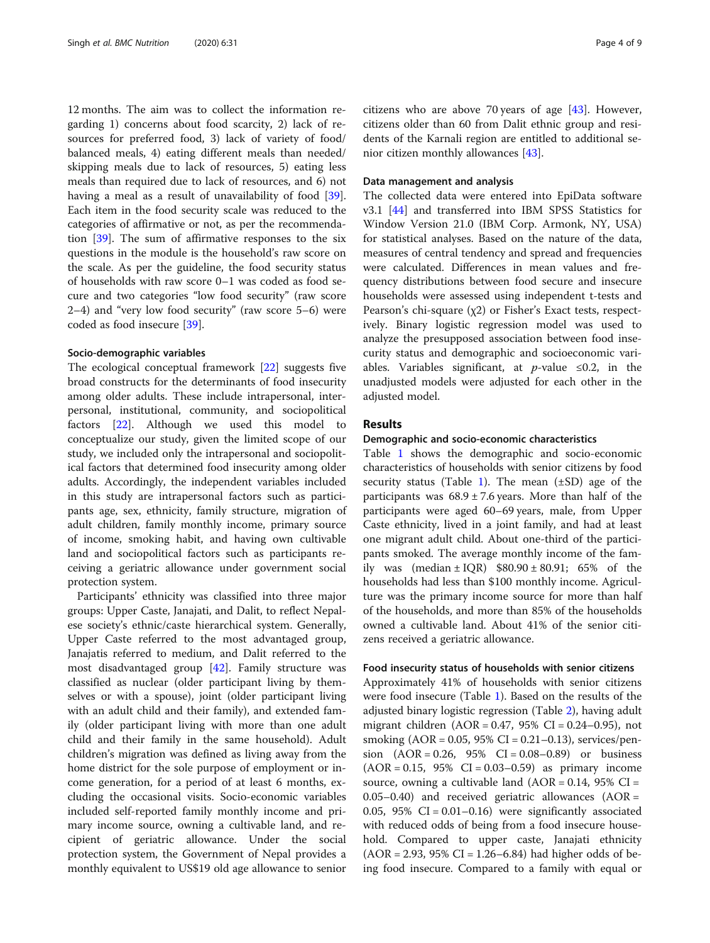12 months. The aim was to collect the information regarding 1) concerns about food scarcity, 2) lack of resources for preferred food, 3) lack of variety of food/ balanced meals, 4) eating different meals than needed/ skipping meals due to lack of resources, 5) eating less meals than required due to lack of resources, and 6) not having a meal as a result of unavailability of food [\[39](#page-7-0)]. Each item in the food security scale was reduced to the categories of affirmative or not, as per the recommendation [[39\]](#page-7-0). The sum of affirmative responses to the six questions in the module is the household's raw score on the scale. As per the guideline, the food security status of households with raw score 0–1 was coded as food secure and two categories "low food security" (raw score 2–4) and "very low food security" (raw score 5–6) were coded as food insecure [\[39](#page-7-0)].

#### Socio-demographic variables

The ecological conceptual framework [\[22](#page-7-0)] suggests five broad constructs for the determinants of food insecurity among older adults. These include intrapersonal, interpersonal, institutional, community, and sociopolitical factors [\[22](#page-7-0)]. Although we used this model to conceptualize our study, given the limited scope of our study, we included only the intrapersonal and sociopolitical factors that determined food insecurity among older adults. Accordingly, the independent variables included in this study are intrapersonal factors such as participants age, sex, ethnicity, family structure, migration of adult children, family monthly income, primary source of income, smoking habit, and having own cultivable land and sociopolitical factors such as participants receiving a geriatric allowance under government social protection system.

Participants' ethnicity was classified into three major groups: Upper Caste, Janajati, and Dalit, to reflect Nepalese society's ethnic/caste hierarchical system. Generally, Upper Caste referred to the most advantaged group, Janajatis referred to medium, and Dalit referred to the most disadvantaged group [[42\]](#page-8-0). Family structure was classified as nuclear (older participant living by themselves or with a spouse), joint (older participant living with an adult child and their family), and extended family (older participant living with more than one adult child and their family in the same household). Adult children's migration was defined as living away from the home district for the sole purpose of employment or income generation, for a period of at least 6 months, excluding the occasional visits. Socio-economic variables included self-reported family monthly income and primary income source, owning a cultivable land, and recipient of geriatric allowance. Under the social protection system, the Government of Nepal provides a monthly equivalent to US\$19 old age allowance to senior citizens who are above 70 years of age [[43\]](#page-8-0). However, citizens older than 60 from Dalit ethnic group and residents of the Karnali region are entitled to additional senior citizen monthly allowances [\[43](#page-8-0)].

## Data management and analysis

The collected data were entered into EpiData software v3.1 [\[44](#page-8-0)] and transferred into IBM SPSS Statistics for Window Version 21.0 (IBM Corp. Armonk, NY, USA) for statistical analyses. Based on the nature of the data, measures of central tendency and spread and frequencies were calculated. Differences in mean values and frequency distributions between food secure and insecure households were assessed using independent t-tests and Pearson's chi-square (χ2) or Fisher's Exact tests, respectively. Binary logistic regression model was used to analyze the presupposed association between food insecurity status and demographic and socioeconomic variables. Variables significant, at *p*-value  $\leq 0.2$ , in the unadjusted models were adjusted for each other in the adjusted model.

## Results

#### Demographic and socio-economic characteristics

Table [1](#page-4-0) shows the demographic and socio-economic characteristics of households with senior citizens by food security status (Table [1](#page-4-0)). The mean  $(\pm SD)$  age of the participants was  $68.9 \pm 7.6$  years. More than half of the participants were aged 60–69 years, male, from Upper Caste ethnicity, lived in a joint family, and had at least one migrant adult child. About one-third of the participants smoked. The average monthly income of the family was  $(median \pm IQR)$  \$80.90  $\pm$  80.91; 65% of the households had less than \$100 monthly income. Agriculture was the primary income source for more than half of the households, and more than 85% of the households owned a cultivable land. About 41% of the senior citizens received a geriatric allowance.

#### Food insecurity status of households with senior citizens

Approximately 41% of households with senior citizens were food insecure (Table [1\)](#page-4-0). Based on the results of the adjusted binary logistic regression (Table [2](#page-5-0)), having adult migrant children  $(AOR = 0.47, 95\% \text{ CI} = 0.24 - 0.95)$ , not smoking (AOR = 0.05, 95% CI = 0.21–0.13), services/pension  $(AOR = 0.26, 95\% \text{ CI} = 0.08 - 0.89)$  or business  $(AOR = 0.15, 95\% \text{ CI} = 0.03 - 0.59)$  as primary income source, owning a cultivable land  $(AOR = 0.14, 95\% \text{ CI} =$  $(0.05-0.40)$  and received geriatric allowances  $(AOR =$ 0.05,  $95\%$  CI = 0.01-0.16) were significantly associated with reduced odds of being from a food insecure household. Compared to upper caste, Janajati ethnicity  $(AOR = 2.93, 95\% CI = 1.26–6.84)$  had higher odds of being food insecure. Compared to a family with equal or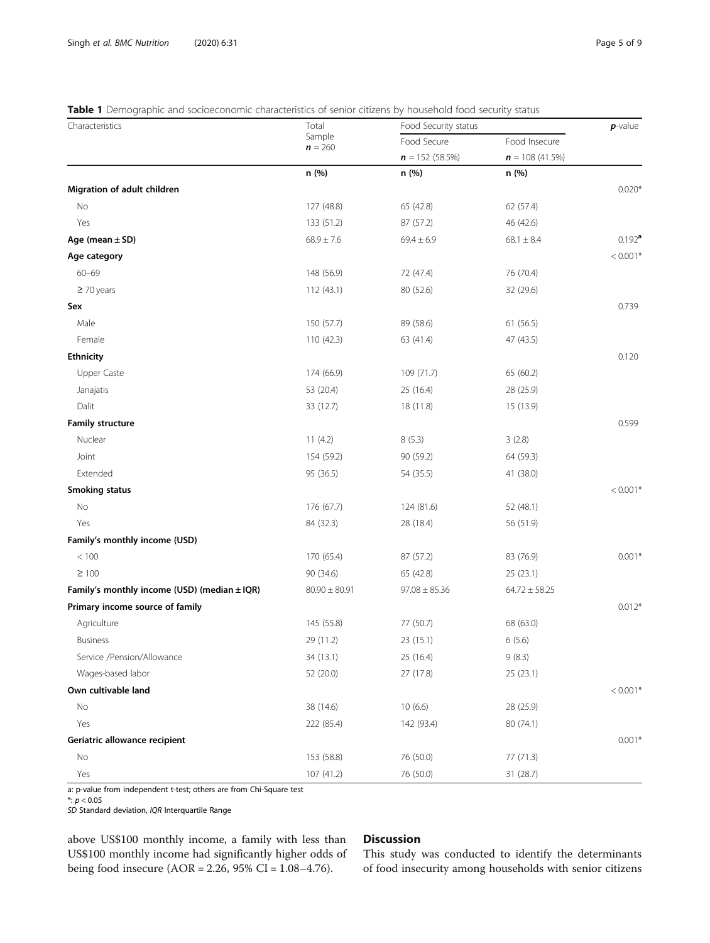## <span id="page-4-0"></span>Table 1 Demographic and socioeconomic characteristics of senior citizens by household food security status

| Characteristics                              | Total<br>Sample<br>$n = 260$ | Food Security status |                   | $p$ -value |
|----------------------------------------------|------------------------------|----------------------|-------------------|------------|
|                                              |                              | Food Secure          | Food Insecure     |            |
|                                              |                              | $n = 152(58.5%)$     | $n = 108(41.5%)$  |            |
|                                              | n (%)                        | n (%)                | n(%)              |            |
| Migration of adult children                  |                              |                      |                   | $0.020*$   |
| No                                           | 127 (48.8)                   | 65 (42.8)            | 62 (57.4)         |            |
| Yes                                          | 133 (51.2)                   | 87 (57.2)            | 46 (42.6)         |            |
| Age (mean $\pm$ SD)                          | $68.9 \pm 7.6$               | $69.4 \pm 6.9$       | $68.1 \pm 8.4$    | $0.192^a$  |
| Age category                                 |                              |                      |                   | $< 0.001*$ |
| $60 - 69$                                    | 148 (56.9)                   | 72 (47.4)            | 76 (70.4)         |            |
| $\geq$ 70 years                              | 112 (43.1)                   | 80 (52.6)            | 32 (29.6)         |            |
| Sex                                          |                              |                      |                   | 0.739      |
| Male                                         | 150 (57.7)                   | 89 (58.6)            | 61(56.5)          |            |
| Female                                       | 110 (42.3)                   | 63 (41.4)            | 47 (43.5)         |            |
| <b>Ethnicity</b>                             |                              |                      |                   | 0.120      |
| Upper Caste                                  | 174 (66.9)                   | 109 (71.7)           | 65 (60.2)         |            |
| Janajatis                                    | 53 (20.4)                    | 25 (16.4)            | 28 (25.9)         |            |
| Dalit                                        | 33 (12.7)                    | 18 (11.8)            | 15 (13.9)         |            |
| <b>Family structure</b>                      |                              |                      |                   | 0.599      |
| Nuclear                                      | 11(4.2)                      | 8(5.3)               | 3(2.8)            |            |
| Joint                                        | 154 (59.2)                   | 90 (59.2)            | 64 (59.3)         |            |
| Extended                                     | 95 (36.5)                    | 54 (35.5)            | 41 (38.0)         |            |
| <b>Smoking status</b>                        |                              |                      |                   | $< 0.001*$ |
| No                                           | 176 (67.7)                   | 124 (81.6)           | 52 (48.1)         |            |
| Yes                                          | 84 (32.3)                    | 28 (18.4)            | 56 (51.9)         |            |
| Family's monthly income (USD)                |                              |                      |                   |            |
| $<100\,$                                     | 170 (65.4)                   | 87 (57.2)            | 83 (76.9)         | $0.001*$   |
| $\geq 100$                                   | 90 (34.6)                    | 65 (42.8)            | 25 (23.1)         |            |
| Family's monthly income (USD) (median ± IQR) | $80.90 \pm 80.91$            | $97.08 \pm 85.36$    | $64.72 \pm 58.25$ |            |
| Primary income source of family              |                              |                      |                   | $0.012*$   |
| Agriculture                                  | 145 (55.8)                   | 77 (50.7)            | 68 (63.0)         |            |
| <b>Business</b>                              | 29 (11.2)                    | 23 (15.1)            | 6(5.6)            |            |
| Service /Pension/Allowance                   | 34 (13.1)                    | 25 (16.4)            | 9(8.3)            |            |
| Wages-based labor                            | 52 (20.0)                    | 27 (17.8)            | 25 (23.1)         |            |
| Own cultivable land                          |                              |                      |                   | $< 0.001*$ |
| No                                           | 38 (14.6)                    | 10(6.6)              | 28 (25.9)         |            |
| Yes                                          | 222 (85.4)                   | 142 (93.4)           | 80 (74.1)         |            |
| Geriatric allowance recipient                |                              |                      |                   | $0.001*$   |
| No                                           | 153 (58.8)                   | 76 (50.0)            | 77 (71.3)         |            |
| Yes                                          | 107 (41.2)                   | 76 (50.0)            | 31 (28.7)         |            |

a: p-value from independent t-test; others are from Chi-Square test

\*: p < 0.05

SD Standard deviation, IQR Interquartile Range

above US\$100 monthly income, a family with less than US\$100 monthly income had significantly higher odds of being food insecure (AOR = 2.26, 95% CI = 1.08–4.76).

## Discussion

This study was conducted to identify the determinants of food insecurity among households with senior citizens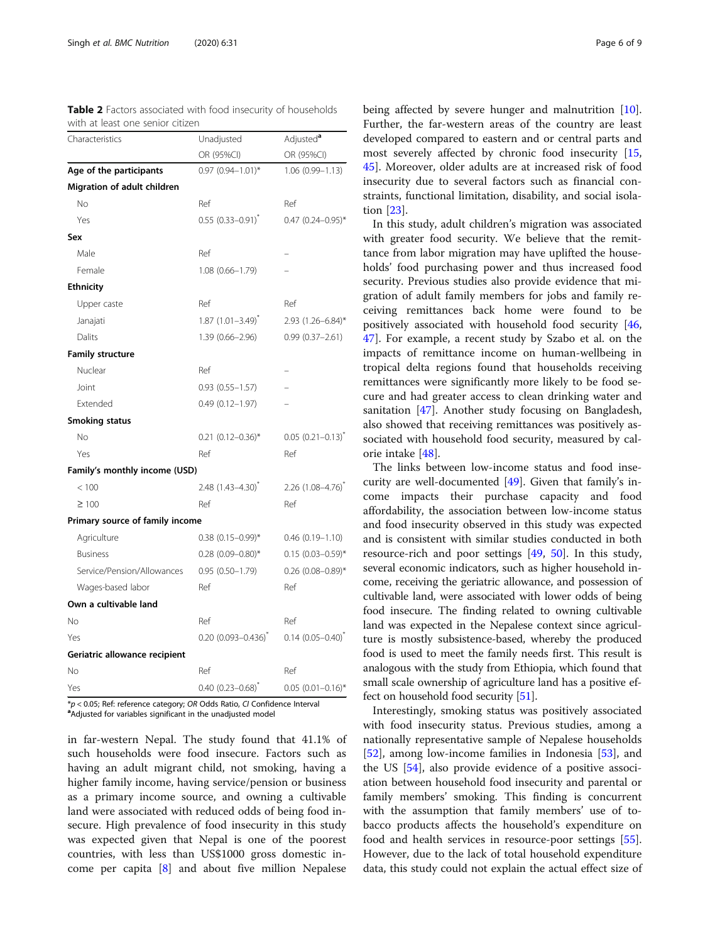<span id="page-5-0"></span>

| Table 2 Factors associated with food insecurity of households |  |  |
|---------------------------------------------------------------|--|--|
| with at least one senior citizen                              |  |  |

| Characteristics                 | Unadjusted                        | Adjusted <sup>a</sup>           |  |
|---------------------------------|-----------------------------------|---------------------------------|--|
|                                 | OR (95%CI)                        | OR (95%CI)                      |  |
| Age of the participants         | $0.97$ $(0.94 - 1.01)^*$          | $1.06(0.99 - 1.13)$             |  |
| Migration of adult children     |                                   |                                 |  |
| No                              | Ref                               | Ref                             |  |
| Yes                             | $0.55(0.33 - 0.91)^{x}$           | $0.47$ (0.24-0.95)*             |  |
| Sex                             |                                   |                                 |  |
| Male                            | Ref                               |                                 |  |
| Female                          | 1.08 (0.66-1.79)                  |                                 |  |
| <b>Ethnicity</b>                |                                   |                                 |  |
| Upper caste                     | Ref                               | Ref                             |  |
| Janajati                        | $1.87(1.01 - 3.49)^{*}$           | 2.93 (1.26-6.84)*               |  |
| Dalits                          | 1.39 (0.66-2.96)                  | $0.99(0.37 - 2.61)$             |  |
| <b>Family structure</b>         |                                   |                                 |  |
| Nuclear                         | Ref                               |                                 |  |
| Joint                           | $0.93(0.55 - 1.57)$               |                                 |  |
| Extended                        | $0.49(0.12 - 1.97)$               |                                 |  |
| <b>Smoking status</b>           |                                   |                                 |  |
| No                              | $0.21$ $(0.12-0.36)$ <sup>*</sup> | $0.05(0.21 - 0.13)^{x}$         |  |
| Yes                             | Ref                               | Ref                             |  |
| Family's monthly income (USD)   |                                   |                                 |  |
| < 100                           | 2.48 (1.43-4.30) <sup>*</sup>     | $2.26$ (1.08-4.76) <sup>*</sup> |  |
| $\geq 100$                      | Ref                               | Ref                             |  |
| Primary source of family income |                                   |                                 |  |
| Agriculture                     | $0.38$ (0.15-0.99)*               | $0.46(0.19 - 1.10)$             |  |
| <b>Business</b>                 | $0.28$ (0.09-0.80)*               | $0.15(0.03 - 0.59)$ *           |  |
| Service/Pension/Allowances      | $0.95(0.50 - 1.79)$               | $0.26$ (0.08-0.89)*             |  |
| Wages-based labor               | Ref                               | Ref                             |  |
| Own a cultivable land           |                                   |                                 |  |
| No                              | Ref                               | Ref                             |  |
| Yes                             | $0.20$ (0.093-0.436) <sup>*</sup> | $0.14$ $(0.05 - 0.40)^{*}$      |  |
| Geriatric allowance recipient   |                                   |                                 |  |
| No                              | Ref                               | Ref                             |  |
| Yes                             | $0.40$ $(0.23 - 0.68)^T$          | $0.05$ $(0.01 - 0.16)^*$        |  |

 $^*\!p$  < 0.05; Ref: reference category; OR Odds Ratio, CI Confidence Interval <sup>a</sup> Adjusted for variables significant in the unadjusted model

in far-western Nepal. The study found that 41.1% of such households were food insecure. Factors such as having an adult migrant child, not smoking, having a higher family income, having service/pension or business as a primary income source, and owning a cultivable land were associated with reduced odds of being food insecure. High prevalence of food insecurity in this study was expected given that Nepal is one of the poorest countries, with less than US\$1000 gross domestic income per capita [\[8](#page-7-0)] and about five million Nepalese being affected by severe hunger and malnutrition [\[10](#page-7-0)]. Further, the far-western areas of the country are least developed compared to eastern and or central parts and most severely affected by chronic food insecurity [[15](#page-7-0), [45\]](#page-8-0). Moreover, older adults are at increased risk of food insecurity due to several factors such as financial constraints, functional limitation, disability, and social isolation [\[23\]](#page-7-0).

In this study, adult children's migration was associated with greater food security. We believe that the remittance from labor migration may have uplifted the households' food purchasing power and thus increased food security. Previous studies also provide evidence that migration of adult family members for jobs and family receiving remittances back home were found to be positively associated with household food security [[46](#page-8-0), [47\]](#page-8-0). For example, a recent study by Szabo et al. on the impacts of remittance income on human-wellbeing in tropical delta regions found that households receiving remittances were significantly more likely to be food secure and had greater access to clean drinking water and sanitation [\[47](#page-8-0)]. Another study focusing on Bangladesh, also showed that receiving remittances was positively associated with household food security, measured by calorie intake [\[48](#page-8-0)].

The links between low-income status and food insecurity are well-documented [[49\]](#page-8-0). Given that family's income impacts their purchase capacity and food affordability, the association between low-income status and food insecurity observed in this study was expected and is consistent with similar studies conducted in both resource-rich and poor settings [[49](#page-8-0), [50\]](#page-8-0). In this study, several economic indicators, such as higher household income, receiving the geriatric allowance, and possession of cultivable land, were associated with lower odds of being food insecure. The finding related to owning cultivable land was expected in the Nepalese context since agriculture is mostly subsistence-based, whereby the produced food is used to meet the family needs first. This result is analogous with the study from Ethiopia, which found that small scale ownership of agriculture land has a positive effect on household food security [\[51\]](#page-8-0).

Interestingly, smoking status was positively associated with food insecurity status. Previous studies, among a nationally representative sample of Nepalese households [[52\]](#page-8-0), among low-income families in Indonesia [[53](#page-8-0)], and the US [\[54](#page-8-0)], also provide evidence of a positive association between household food insecurity and parental or family members' smoking. This finding is concurrent with the assumption that family members' use of tobacco products affects the household's expenditure on food and health services in resource-poor settings [\[55](#page-8-0)]. However, due to the lack of total household expenditure data, this study could not explain the actual effect size of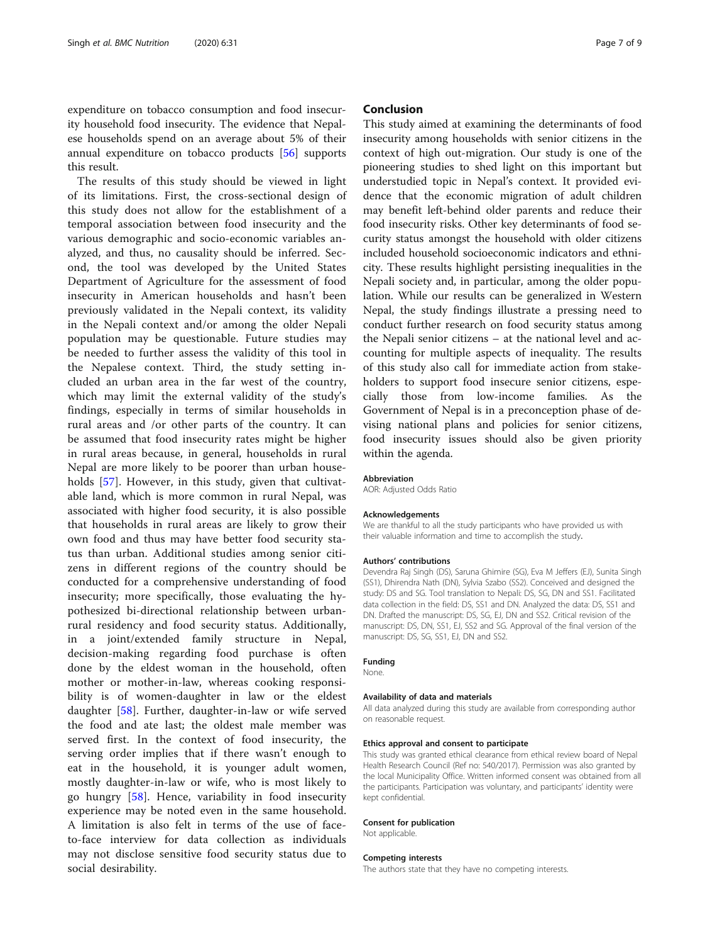expenditure on tobacco consumption and food insecurity household food insecurity. The evidence that Nepalese households spend on an average about 5% of their annual expenditure on tobacco products [[56](#page-8-0)] supports this result.

The results of this study should be viewed in light of its limitations. First, the cross-sectional design of this study does not allow for the establishment of a temporal association between food insecurity and the various demographic and socio-economic variables analyzed, and thus, no causality should be inferred. Second, the tool was developed by the United States Department of Agriculture for the assessment of food insecurity in American households and hasn't been previously validated in the Nepali context, its validity in the Nepali context and/or among the older Nepali population may be questionable. Future studies may be needed to further assess the validity of this tool in the Nepalese context. Third, the study setting included an urban area in the far west of the country, which may limit the external validity of the study's findings, especially in terms of similar households in rural areas and /or other parts of the country. It can be assumed that food insecurity rates might be higher in rural areas because, in general, households in rural Nepal are more likely to be poorer than urban house-holds [\[57](#page-8-0)]. However, in this study, given that cultivatable land, which is more common in rural Nepal, was associated with higher food security, it is also possible that households in rural areas are likely to grow their own food and thus may have better food security status than urban. Additional studies among senior citizens in different regions of the country should be conducted for a comprehensive understanding of food insecurity; more specifically, those evaluating the hypothesized bi-directional relationship between urbanrural residency and food security status. Additionally, in a joint/extended family structure in Nepal, decision-making regarding food purchase is often done by the eldest woman in the household, often mother or mother-in-law, whereas cooking responsibility is of women-daughter in law or the eldest daughter [\[58](#page-8-0)]. Further, daughter-in-law or wife served the food and ate last; the oldest male member was served first. In the context of food insecurity, the serving order implies that if there wasn't enough to eat in the household, it is younger adult women, mostly daughter-in-law or wife, who is most likely to go hungry [\[58](#page-8-0)]. Hence, variability in food insecurity experience may be noted even in the same household. A limitation is also felt in terms of the use of faceto-face interview for data collection as individuals may not disclose sensitive food security status due to social desirability.

## Conclusion

This study aimed at examining the determinants of food insecurity among households with senior citizens in the context of high out-migration. Our study is one of the pioneering studies to shed light on this important but understudied topic in Nepal's context. It provided evidence that the economic migration of adult children may benefit left-behind older parents and reduce their food insecurity risks. Other key determinants of food security status amongst the household with older citizens included household socioeconomic indicators and ethnicity. These results highlight persisting inequalities in the Nepali society and, in particular, among the older population. While our results can be generalized in Western Nepal, the study findings illustrate a pressing need to conduct further research on food security status among the Nepali senior citizens – at the national level and accounting for multiple aspects of inequality. The results of this study also call for immediate action from stakeholders to support food insecure senior citizens, especially those from low-income families. As the Government of Nepal is in a preconception phase of devising national plans and policies for senior citizens, food insecurity issues should also be given priority within the agenda.

#### **Abbreviation**

AOR: Adjusted Odds Ratio

#### Acknowledgements

We are thankful to all the study participants who have provided us with their valuable information and time to accomplish the study.

#### Authors' contributions

Devendra Raj Singh (DS), Saruna Ghimire (SG), Eva M Jeffers (EJ), Sunita Singh (SS1), Dhirendra Nath (DN), Sylvia Szabo (SS2). Conceived and designed the study: DS and SG. Tool translation to Nepali: DS, SG, DN and SS1. Facilitated data collection in the field: DS, SS1 and DN. Analyzed the data: DS, SS1 and DN. Drafted the manuscript: DS, SG, EJ, DN and SS2. Critical revision of the manuscript: DS, DN, SS1, EJ, SS2 and SG. Approval of the final version of the manuscript: DS, SG, SS1, EJ, DN and SS2.

#### Funding

None.

#### Availability of data and materials

All data analyzed during this study are available from corresponding author on reasonable request.

#### Ethics approval and consent to participate

This study was granted ethical clearance from ethical review board of Nepal Health Research Council (Ref no: 540/2017). Permission was also granted by the local Municipality Office. Written informed consent was obtained from all the participants. Participation was voluntary, and participants' identity were kept confidential.

#### Consent for publication

Not applicable.

#### Competing interests

The authors state that they have no competing interests.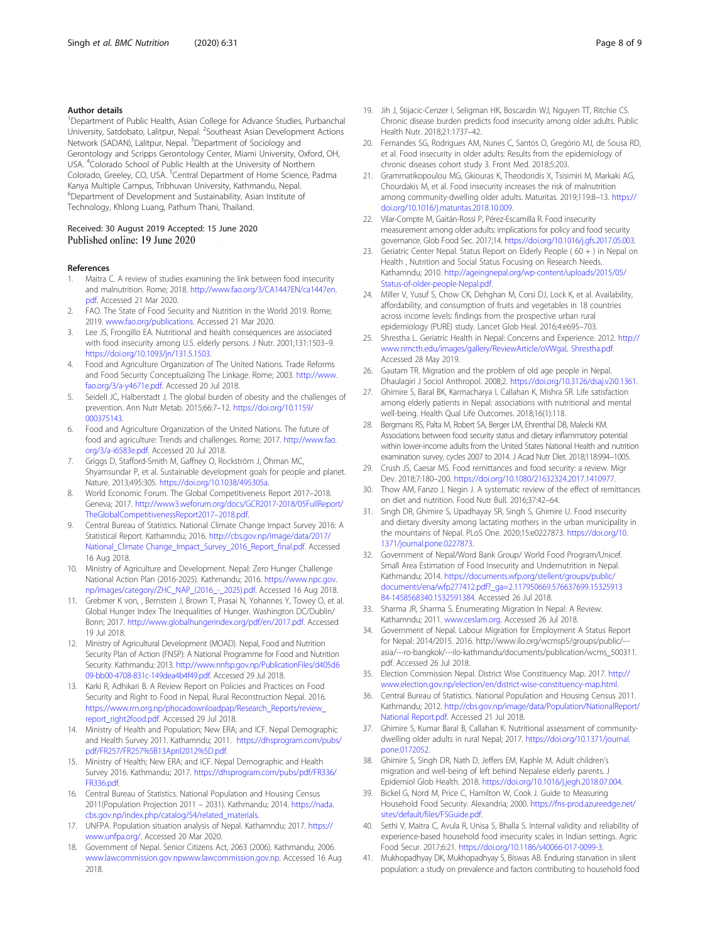#### <span id="page-7-0"></span>Author details

<sup>1</sup>Department of Public Health, Asian College for Advance Studies, Purbanchal University, Satdobato, Lalitpur, Nepal. <sup>2</sup>Southeast Asian Development Actions Network (SADAN), Lalitpur, Nepal. <sup>3</sup>Department of Sociology and Gerontology and Scripps Gerontology Center, Miami University, Oxford, OH, USA. <sup>4</sup>Colorado School of Public Health at the University of Northern Colorado, Greeley, CO, USA. <sup>5</sup>Central Department of Home Science, Padma Kanya Multiple Campus, Tribhuvan University, Kathmandu, Nepal. 6 Department of Development and Sustainability, Asian Institute of Technology, Khlong Luang, Pathum Thani, Thailand.

# Received: 30 August 2019 Accepted: 15 June 2020

## References

- 1. Maitra C. A review of studies examining the link between food insecurity and malnutrition. Rome; 2018. [http://www.fao.org/3/CA1447EN/ca1447en.](http://www.fao.org/3/CA1447EN/ca1447en.pdf) [pdf](http://www.fao.org/3/CA1447EN/ca1447en.pdf). Accessed 21 Mar 2020.
- 2. FAO. The State of Food Security and Nutrition in the World 2019. Rome; 2019. [www.fao.org/publications.](http://www.fao.org/publications) Accessed 21 Mar 2020.
- 3. Lee JS, Frongillo EA. Nutritional and health consequences are associated with food insecurity among U.S. elderly persons. J Nutr. 2001;131:1503–9. <https://doi.org/10.1093/jn/131.5.1503>.
- 4. Food and Agriculture Organization of The United Nations. Trade Reforms and Food Security Conceptualizing The Linkage. Rome; 2003. [http://www.](http://www.fao.org/3/a-y4671e.pdf) [fao.org/3/a-y4671e.pdf.](http://www.fao.org/3/a-y4671e.pdf) Accessed 20 Jul 2018.
- 5. Seidell JC, Halberstadt J. The global burden of obesity and the challenges of prevention. Ann Nutr Metab. 2015;66:7–12. [https://doi.org/10.1159/](https://doi.org/10.1159/000375143) [000375143](https://doi.org/10.1159/000375143).
- 6. Food and Agriculture Organization of the United Nations. The future of food and agriculture: Trends and challenges. Rome; 2017. [http://www.fao.](http://www.fao.org/3/a-i6583e.pdf) [org/3/a-i6583e.pdf](http://www.fao.org/3/a-i6583e.pdf). Accessed 20 Jul 2018.
- 7. Griggs D, Stafford-Smith M, Gaffney O, Rockström J, Öhman MC, Shyamsundar P, et al. Sustainable development goals for people and planet. Nature. 2013;495:305. [https://doi.org/10.1038/495305a.](https://doi.org/10.1038/495305a)
- World Economic Forum. The Global Competitiveness Report 2017-2018. Geneva; 2017. [http://www3.weforum.org/docs/GCR2017-2018/05FullReport/](http://www3.weforum.org/docs/GCR2017-2018/05FullReport/TheGlobalCompetitivenessReport2017-2018.pdf) [TheGlobalCompetitivenessReport2017](http://www3.weforum.org/docs/GCR2017-2018/05FullReport/TheGlobalCompetitivenessReport2017-2018.pdf)–2018.pdf.
- 9. Central Bureau of Statistics. National Climate Change Impact Survey 2016: A Statistical Report. Kathamndu; 2016. [http://cbs.gov.np/image/data/2017/](http://cbs.gov.np/image/data/2017/National_Climate%20Change_Impact_Survey_2016_Report_final.pdf) [National\\_Climate Change\\_Impact\\_Survey\\_2016\\_Report\\_final.pdf.](http://cbs.gov.np/image/data/2017/National_Climate%20Change_Impact_Survey_2016_Report_final.pdf) Accessed 16 Aug 2018.
- 10. Ministry of Agriculture and Development. Nepal: Zero Hunger Challenge National Action Plan (2016-2025). Kathmandu; 2016. [https://www.npc.gov.](https://www.npc.gov.np/images/category/ZHC_NAP_(2016_-_2025).pdf) [np/images/category/ZHC\\_NAP\\_\(2016\\_-\\_2025\).pdf](https://www.npc.gov.np/images/category/ZHC_NAP_(2016_-_2025).pdf). Accessed 16 Aug 2018.
- 11. Grebmer K von, , Bernstein J, Brown T, Prasai N, Yohannes Y, Towey O, et al. Global Hunger Index The Inequalities of Hunger. Washington DC/Dublin/ Bonn; 2017. [http://www.globalhungerindex.org/pdf/en/2017.pdf.](http://www.globalhungerindex.org/pdf/en/2017.pdf) Accessed 19 Jul 2018.
- 12. Ministry of Agricultural Development (MOAD). Nepal, Food and Nutrition Security Plan of Action (FNSP): A National Programme for Food and Nutrition Security. Kathmandu; 2013. [http://www.nnfsp.gov.np/PublicationFiles/d405d6](http://www.nnfsp.gov.np/PublicationFiles/d405d609-bb00-4708-831c-149dea4b4f49.pdf) [09-bb00-4708-831c-149dea4b4f49.pdf](http://www.nnfsp.gov.np/PublicationFiles/d405d609-bb00-4708-831c-149dea4b4f49.pdf). Accessed 29 Jul 2018.
- 13. Karki R, Adhikari B. A Review Report on Policies and Practices on Food Security and Right to Food in Nepal, Rural Reconstruction Nepal. 2016. [https://www.rrn.org.np/phocadownloadpap/Research\\_Reports/review\\_](https://www.rrn.org.np/phocadownloadpap/Research_Reports/review_report_right2food.pdf) [report\\_right2food.pdf](https://www.rrn.org.np/phocadownloadpap/Research_Reports/review_report_right2food.pdf). Accessed 29 Jul 2018.
- 14. Ministry of Health and Population; New ERA; and ICF. Nepal Demographic and Health Survey 2011. Kathamndu; 2011. [https://dhsprogram.com/pubs/](https://dhsprogram.com/pubs/pdf/FR257/FR257%5B13April2012%5D.pdf) [pdf/FR257/FR257%5B13April2012%5D.pdf.](https://dhsprogram.com/pubs/pdf/FR257/FR257%5B13April2012%5D.pdf)
- 15. Ministry of Health; New ERA; and ICF. Nepal Demographic and Health Survey 2016. Kathmandu; 2017. [https://dhsprogram.com/pubs/pdf/FR336/](https://dhsprogram.com/pubs/pdf/FR336/FR336.pdf) [FR336.pdf](https://dhsprogram.com/pubs/pdf/FR336/FR336.pdf).
- 16. Central Bureau of Statistics. National Population and Housing Census 2011(Population Projection 2011 – 2031). Kathmandu; 2014. [https://nada.](https://nada.cbs.gov.np/index.php/catalog/54/related_materials) [cbs.gov.np/index.php/catalog/54/related\\_materials](https://nada.cbs.gov.np/index.php/catalog/54/related_materials).
- 17. UNFPA. Population situation analysis of Nepal. Kathamndu; 2017. [https://](https://www.unfpa.org/) [www.unfpa.org/.](https://www.unfpa.org/) Accessed 20 Mar 2020.
- 18. Government of Nepal. Senior Citizens Act, 2063 (2006). Kathmandu; 2006. [www.lawcommission.gov.npwww.lawcommission.gov.np](http://www.lawcommission.gov.npwww.lawcommission.gov.np). Accessed 16 Aug 2018.
- 
- 19. Jih J, Stijacic-Cenzer I, Seligman HK, Boscardin WJ, Nguyen TT, Ritchie CS. Chronic disease burden predicts food insecurity among older adults. Public Health Nutr. 2018;21:1737–42.
- 20. Fernandes SG, Rodrigues AM, Nunes C, Santos O, Gregório MJ, de Sousa RD, et al. Food insecurity in older adults: Results from the epidemiology of chronic diseases cohort study 3. Front Med. 2018;5:203.
- 21. Grammatikopoulou MG, Gkiouras K, Theodoridis X, Tsisimiri M, Markaki AG, Chourdakis M, et al. Food insecurity increases the risk of malnutrition among community-dwelling older adults. Maturitas. 2019;119:8–13. [https://](https://doi.org/10.1016/j.maturitas.2018.10.009) [doi.org/10.1016/j.maturitas.2018.10.009.](https://doi.org/10.1016/j.maturitas.2018.10.009)
- 22. Vilar-Compte M, Gaitán-Rossi P, Pérez-Escamilla R. Food insecurity measurement among older adults: implications for policy and food security governance. Glob Food Sec. 2017;14. <https://doi.org/10.1016/j.gfs.2017.05.003>.
- 23. Geriatric Center Nepal. Status Report on Elderly People ( 60 + ) in Nepal on Health , Nutrition and Social Status Focusing on Research Needs. Kathamndu; 2010. [http://ageingnepal.org/wp-content/uploads/2015/05/](http://ageingnepal.org/wp-content/uploads/2015/05/Status-of-older-people-Nepal.pdf) [Status-of-older-people-Nepal.pdf](http://ageingnepal.org/wp-content/uploads/2015/05/Status-of-older-people-Nepal.pdf).
- 24. Miller V, Yusuf S, Chow CK, Dehghan M, Corsi DJ, Lock K, et al. Availability, affordability, and consumption of fruits and vegetables in 18 countries across income levels: findings from the prospective urban rural epidemiology (PURE) study. Lancet Glob Heal. 2016;4:e695–703.
- 25. Shrestha L. Geriatric Health in Nepal: Concerns and Experience. 2012. [http://](http://www.nmcth.edu/images/gallery/ReviewArticle/oVWgaL%20Shrestha.pdf) [www.nmcth.edu/images/gallery/ReviewArticle/oVWgaL Shrestha.pdf](http://www.nmcth.edu/images/gallery/ReviewArticle/oVWgaL%20Shrestha.pdf). Accessed 28 May 2019.
- 26. Gautam TR. Migration and the problem of old age people in Nepal. Dhaulagiri J Sociol Anthropol. 2008;2. [https://doi.org/10.3126/dsaj.v2i0.1361.](https://doi.org/10.3126/dsaj.v2i0.1361)
- 27. Ghimire S, Baral BK, Karmacharya I, Callahan K, Mishra SR. Life satisfaction among elderly patients in Nepal: associations with nutritional and mental well-being. Health Qual Life Outcomes. 2018;16(1):118.
- 28. Bergmans RS, Palta M, Robert SA, Berger LM, Ehrenthal DB, Malecki KM. Associations between food security status and dietary inflammatory potential within lower-income adults from the United States National Health and nutrition examination survey, cycles 2007 to 2014. J Acad Nutr Diet. 2018;118:994–1005.
- 29. Crush JS, Caesar MS. Food remittances and food security: a review. Migr Dev. 2018;7:180–200. <https://doi.org/10.1080/21632324.2017.1410977>.
- 30. Thow AM, Fanzo J, Negin J. A systematic review of the effect of remittances on diet and nutrition. Food Nutr Bull. 2016;37:42–64.
- 31. Singh DR, Ghimire S, Upadhayay SR, Singh S, Ghimire U. Food insecurity and dietary diversity among lactating mothers in the urban municipality in the mountains of Nepal. PLoS One. 2020;15:e0227873. [https://doi.org/10.](https://doi.org/10.1371/journal.pone.0227873) [1371/journal.pone.0227873](https://doi.org/10.1371/journal.pone.0227873).
- 32. Government of Nepal/Word Bank Group/ World Food Program/Unicef. Small Area Estimation of Food Insecurity and Undernutrition in Nepal. Kathmandu; 2014. [https://documents.wfp.org/stellent/groups/public/](https://documents.wfp.org/stellent/groups/public/documents/ena/wfp277412.pdf?_ga=2.117950669.576637699.1532591384-1458568340.1532591384) [documents/ena/wfp277412.pdf?\\_ga=2.117950669.576637699.15325913](https://documents.wfp.org/stellent/groups/public/documents/ena/wfp277412.pdf?_ga=2.117950669.576637699.1532591384-1458568340.1532591384) [84-1458568340.1532591384](https://documents.wfp.org/stellent/groups/public/documents/ena/wfp277412.pdf?_ga=2.117950669.576637699.1532591384-1458568340.1532591384). Accessed 26 Jul 2018.
- 33. Sharma JR, Sharma S. Enumerating Migration In Nepal: A Review. Kathamndu; 2011. [www.ceslam.org.](http://www.ceslam.org) Accessed 26 Jul 2018.
- 34. Government of Nepal. Labour Migration for Employment A Status Report for Nepal: 2014/2015. 2016. http://www.ilo.org/wcmsp5/groups/public/-- asia/---ro-bangkok/---ilo-kathmandu/documents/publication/wcms\_500311. pdf. Accessed 26 Jul 2018.
- 35. Election Commission Nepal. District Wise Constituency Map. 2017. [http://](http://www.election.gov.np/election/en/district-wise-constituency-map.html) [www.election.gov.np/election/en/district-wise-constituency-map.html](http://www.election.gov.np/election/en/district-wise-constituency-map.html).
- 36. Central Bureau of Statistics. National Population and Housing Census 2011. Kathmandu; 2012. [http://cbs.gov.np/image/data/Population/NationalReport/](http://cbs.gov.np/image/data/Population/NationalReport/National%20Report.pdf) [National Report.pdf](http://cbs.gov.np/image/data/Population/NationalReport/National%20Report.pdf). Accessed 21 Jul 2018.
- 37. Ghimire S, Kumar Baral B, Callahan K. Nutritional assessment of communitydwelling older adults in rural Nepal; 2017. [https://doi.org/10.1371/journal.](https://doi.org/10.1371/journal.pone.0172052) [pone.0172052.](https://doi.org/10.1371/journal.pone.0172052)
- 38. Ghimire S, Singh DR, Nath D, Jeffers EM, Kaphle M. Adult children's migration and well-being of left behind Nepalese elderly parents. J Epidemiol Glob Health. 2018. <https://doi.org/10.1016/j.jegh.2018.07.004>.
- 39. Bickel G, Nord M, Price C, Hamilton W, Cook J. Guide to Measuring Household Food Security. Alexandria; 2000. [https://fns-prod.azureedge.net/](https://fns-prod.azureedge.net/sites/default/files/FSGuide.pdf) [sites/default/files/FSGuide.pdf.](https://fns-prod.azureedge.net/sites/default/files/FSGuide.pdf)
- 40. Sethi V, Maitra C, Avula R, Unisa S, Bhalla S. Internal validity and reliability of experience-based household food insecurity scales in Indian settings. Agric Food Secur. 2017;6:21. <https://doi.org/10.1186/s40066-017-0099-3>.
- 41. Mukhopadhyay DK, Mukhopadhyay S, Biswas AB. Enduring starvation in silent population: a study on prevalence and factors contributing to household food